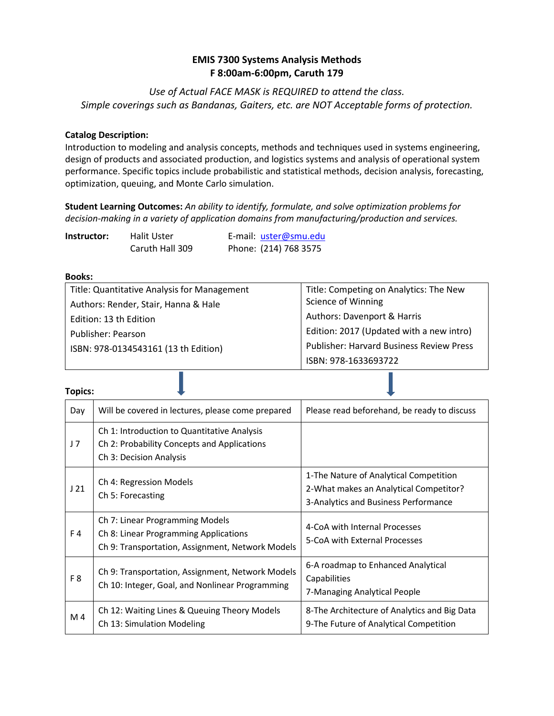# **EMIS 7300 Systems Analysis Methods F 8:00am-6:00pm, Caruth 179**

*Use of Actual FACE MASK is REQUIRED to attend the class. Simple coverings such as Bandanas, Gaiters, etc. are NOT Acceptable forms of protection.*

### **Catalog Description:**

Introduction to modeling and analysis concepts, methods and techniques used in systems engineering, design of products and associated production, and logistics systems and analysis of operational system performance. Specific topics include probabilistic and statistical methods, decision analysis, forecasting, optimization, queuing, and Monte Carlo simulation.

**Student Learning Outcomes:** *An ability to identify, formulate, and solve optimization problems for decision-making in a variety of application domains from manufacturing/production and services.*

| Halit Uster<br>Instructor: |                 | E-mail: uster@smu.edu |
|----------------------------|-----------------|-----------------------|
|                            | Caruth Hall 309 | Phone: (214) 768 3575 |

#### **Books:**

| Title: Quantitative Analysis for Management | Title: Competing on Analytics: The New          |
|---------------------------------------------|-------------------------------------------------|
| Authors: Render, Stair, Hanna & Hale        | Science of Winning                              |
| Edition: 13 th Edition                      | Authors: Davenport & Harris                     |
| Publisher: Pearson                          | Edition: 2017 (Updated with a new intro)        |
| ISBN: 978-0134543161 (13 th Edition)        | <b>Publisher: Harvard Business Review Press</b> |
|                                             | ISBN: 978-1633693722                            |

| п<br>н<br>۱ |
|-------------|
|             |
| ł           |

| Day            | Will be covered in lectures, please come prepared                                                                            | Please read beforehand, be ready to discuss                                                                              |
|----------------|------------------------------------------------------------------------------------------------------------------------------|--------------------------------------------------------------------------------------------------------------------------|
| J <sub>7</sub> | Ch 1: Introduction to Quantitative Analysis<br>Ch 2: Probability Concepts and Applications<br>Ch 3: Decision Analysis        |                                                                                                                          |
| J21            | Ch 4: Regression Models<br>Ch 5: Forecasting                                                                                 | 1-The Nature of Analytical Competition<br>2-What makes an Analytical Competitor?<br>3-Analytics and Business Performance |
| F4             | Ch 7: Linear Programming Models<br>Ch 8: Linear Programming Applications<br>Ch 9: Transportation, Assignment, Network Models | 4-CoA with Internal Processes<br>5-CoA with External Processes                                                           |
| F <sub>8</sub> | Ch 9: Transportation, Assignment, Network Models<br>Ch 10: Integer, Goal, and Nonlinear Programming                          | 6-A roadmap to Enhanced Analytical<br>Capabilities<br>7-Managing Analytical People                                       |
| M <sub>4</sub> | Ch 12: Waiting Lines & Queuing Theory Models<br>Ch 13: Simulation Modeling                                                   | 8-The Architecture of Analytics and Big Data<br>9-The Future of Analytical Competition                                   |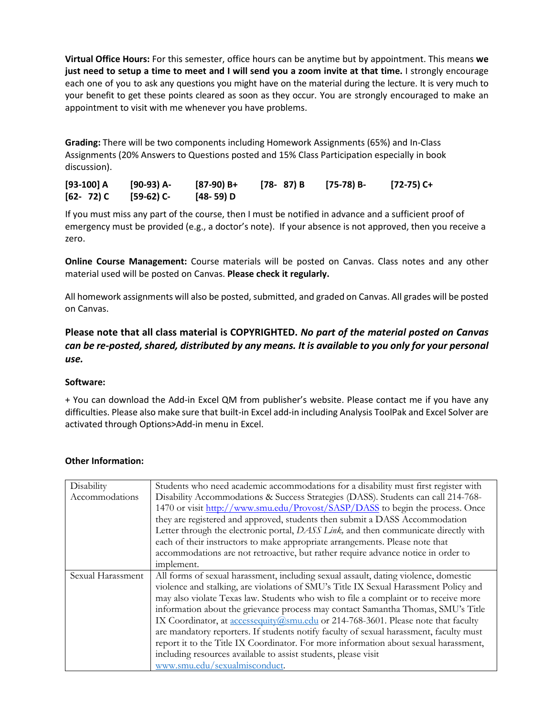**Virtual Office Hours:** For this semester, office hours can be anytime but by appointment. This means **we just need to setup a time to meet and I will send you a zoom invite at that time.** I strongly encourage each one of you to ask any questions you might have on the material during the lecture. It is very much to your benefit to get these points cleared as soon as they occur. You are strongly encouraged to make an appointment to visit with me whenever you have problems.

**Grading:** There will be two components including Homework Assignments (65%) and In-Class Assignments (20% Answers to Questions posted and 15% Class Participation especially in book discussion).

| $[93-100] A$  | [90-93) A- | [87-90) B+ | [78-87)B | [75-78) B- | [72-75) C+ |
|---------------|------------|------------|----------|------------|------------|
| $[62 - 72)$ C | [59-62) C- | [48-59) D  |          |            |            |

If you must miss any part of the course, then I must be notified in advance and a sufficient proof of emergency must be provided (e.g., a doctor's note). If your absence is not approved, then you receive a zero.

**Online Course Management:** Course materials will be posted on Canvas. Class notes and any other material used will be posted on Canvas. **Please check it regularly.**

All homework assignments will also be posted, submitted, and graded on Canvas. All grades will be posted on Canvas.

**Please note that all class material is COPYRIGHTED.** *No part of the material posted on Canvas can be re-posted, shared, distributed by any means. It is available to you only for your personal use.*

## **Software:**

+ You can download the Add-in Excel QM from publisher's website. Please contact me if you have any difficulties. Please also make sure that built-in Excel add-in including Analysis ToolPak and Excel Solver are activated through Options>Add-in menu in Excel.

| Disability        | Students who need academic accommodations for a disability must first register with    |  |  |
|-------------------|----------------------------------------------------------------------------------------|--|--|
| Accommodations    | Disability Accommodations & Success Strategies (DASS). Students can call 214-768-      |  |  |
|                   | 1470 or visit http://www.smu.edu/Provost/SASP/DASS to begin the process. Once          |  |  |
|                   | they are registered and approved, students then submit a DASS Accommodation            |  |  |
|                   | Letter through the electronic portal, DASS Link, and then communicate directly with    |  |  |
|                   | each of their instructors to make appropriate arrangements. Please note that           |  |  |
|                   | accommodations are not retroactive, but rather require advance notice in order to      |  |  |
|                   | implement.                                                                             |  |  |
| Sexual Harassment | All forms of sexual harassment, including sexual assault, dating violence, domestic    |  |  |
|                   | violence and stalking, are violations of SMU's Title IX Sexual Harassment Policy and   |  |  |
|                   | may also violate Texas law. Students who wish to file a complaint or to receive more   |  |  |
|                   | information about the grievance process may contact Samantha Thomas, SMU's Title       |  |  |
|                   | IX Coordinator, at accessequity@smu.edu or 214-768-3601. Please note that faculty      |  |  |
|                   | are mandatory reporters. If students notify faculty of sexual harassment, faculty must |  |  |
|                   | report it to the Title IX Coordinator. For more information about sexual harassment,   |  |  |
|                   | including resources available to assist students, please visit                         |  |  |
|                   | www.smu.edu/sexualmisconduct.                                                          |  |  |

### **Other Information:**